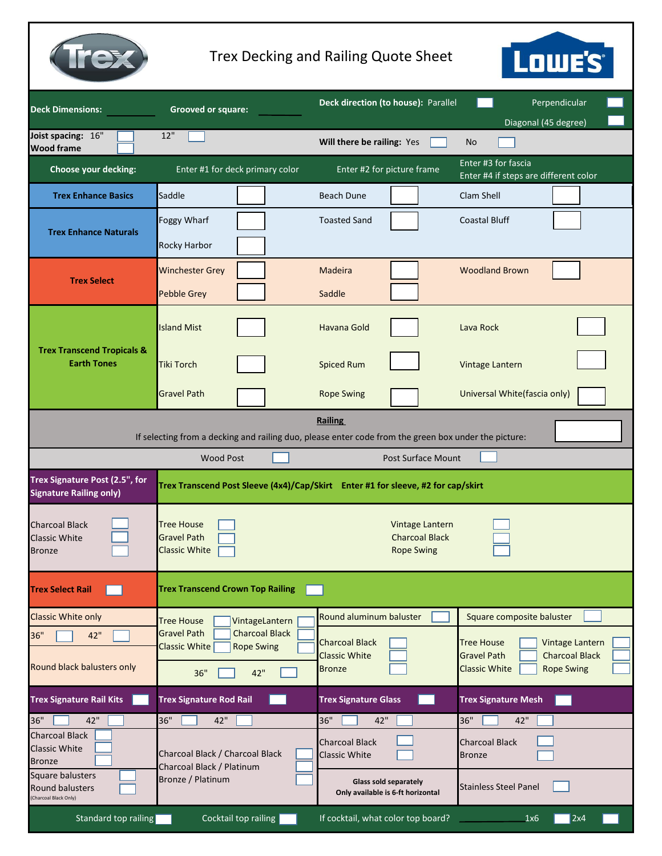

## Trex Decking and Railing Quote Sheet



| <b>Deck Dimensions:</b>                                                            | <b>Grooved or square:</b>                                                                                                                     | Deck direction (to house): Parallel                                                       | Perpendicular                                                                                                                                                 |
|------------------------------------------------------------------------------------|-----------------------------------------------------------------------------------------------------------------------------------------------|-------------------------------------------------------------------------------------------|---------------------------------------------------------------------------------------------------------------------------------------------------------------|
| Joist spacing: 16"<br><b>Wood frame</b>                                            | 12"                                                                                                                                           | Will there be railing: Yes                                                                | Diagonal (45 degree)<br>No                                                                                                                                    |
| Choose your decking:                                                               | Enter #1 for deck primary color                                                                                                               | Enter #2 for picture frame                                                                | Enter #3 for fascia<br>Enter #4 if steps are different color                                                                                                  |
| <b>Trex Enhance Basics</b>                                                         | Saddle                                                                                                                                        | <b>Beach Dune</b>                                                                         | Clam Shell                                                                                                                                                    |
| <b>Trex Enhance Naturals</b>                                                       | Foggy Wharf<br>Rocky Harbor                                                                                                                   | <b>Toasted Sand</b>                                                                       | <b>Coastal Bluff</b>                                                                                                                                          |
| <b>Trex Select</b>                                                                 | <b>Winchester Grey</b><br><b>Pebble Grey</b>                                                                                                  | Madeira<br>Saddle                                                                         | <b>Woodland Brown</b>                                                                                                                                         |
| <b>Trex Transcend Tropicals &amp;</b>                                              | <b>Island Mist</b>                                                                                                                            | Havana Gold                                                                               | Lava Rock                                                                                                                                                     |
| <b>Earth Tones</b>                                                                 | Tiki Torch                                                                                                                                    | <b>Spiced Rum</b>                                                                         | Vintage Lantern                                                                                                                                               |
|                                                                                    | <b>Gravel Path</b>                                                                                                                            | <b>Rope Swing</b>                                                                         | Universal White(fascia only)                                                                                                                                  |
|                                                                                    | If selecting from a decking and railing duo, please enter code from the green box under the picture:                                          | <b>Railing</b>                                                                            |                                                                                                                                                               |
|                                                                                    | <b>Wood Post</b>                                                                                                                              | <b>Post Surface Mount</b>                                                                 |                                                                                                                                                               |
| Trex Signature Post (2.5", for<br><b>Signature Railing only)</b>                   | Trex Transcend Post Sleeve (4x4)/Cap/Skirt Enter #1 for sleeve, #2 for cap/skirt                                                              |                                                                                           |                                                                                                                                                               |
| <b>Charcoal Black</b><br><b>Classic White</b><br><b>Bronze</b>                     | <b>Tree House</b><br><b>Gravel Path</b><br><b>Classic White</b>                                                                               | Vintage Lantern<br><b>Charcoal Black</b><br><b>Rope Swing</b>                             |                                                                                                                                                               |
| <b>Trex Select Rail</b>                                                            | <b>Trex Transcend Crown Top Railing</b>                                                                                                       |                                                                                           |                                                                                                                                                               |
| <b>Classic White only</b><br>36"<br>42"<br>Round black balusters only              | <b>Tree House</b><br>VintageLantern<br><b>Gravel Path</b><br><b>Charcoal Black</b><br><b>Classic White</b><br><b>Rope Swing</b><br>36"<br>42" | Round aluminum baluster<br><b>Charcoal Black</b><br><b>Classic White</b><br><b>Bronze</b> | Square composite baluster<br><b>Tree House</b><br>Vintage Lantern<br><b>Charcoal Black</b><br><b>Gravel Path</b><br><b>Classic White</b><br><b>Rope Swing</b> |
| <b>Trex Signature Rail Kits</b>                                                    | <b>Trex Signature Rod Rail</b>                                                                                                                | <b>Trex Signature Glass</b>                                                               | <b>Trex Signature Mesh</b>                                                                                                                                    |
| 36"<br>42"                                                                         | 36"<br>42"                                                                                                                                    | 36"<br>42"                                                                                | 36"<br>42"                                                                                                                                                    |
| <b>Charcoal Black</b><br><b>Classic White</b><br><b>Bronze</b><br>Square balusters | Charcoal Black / Charcoal Black<br>Charcoal Black / Platinum                                                                                  | <b>Charcoal Black</b><br><b>Classic White</b>                                             | <b>Charcoal Black</b><br><b>Bronze</b>                                                                                                                        |
| <b>Round balusters</b><br>(Charcoal Black Only)                                    | Bronze / Platinum                                                                                                                             | <b>Glass sold separately</b><br>Only available is 6-ft horizontal                         | <b>Stainless Steel Panel</b>                                                                                                                                  |
| Standard top railing                                                               | Cocktail top railing                                                                                                                          | If cocktail, what color top board?                                                        | 2x4<br>1x6                                                                                                                                                    |